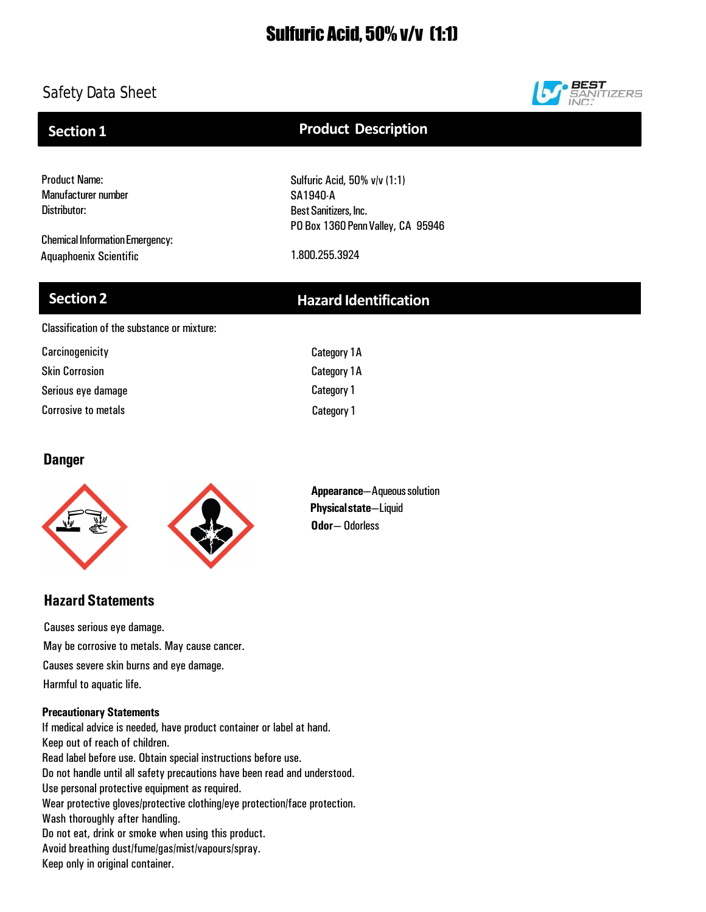# Sulfuric Acid, 50% v/v (1:1)

# Safety Data Sheet



## **Section 1**

# **Product Description**

Sulfuric Acid, 50% v/v (1:1)

Product Name: Manufacturer number Distributor:

Chemical Information Emergency: Aquaphoenix Scientific 1.800.255.3924

SA1940-A Best Sanitizers, Inc. PO Box 1360 Penn Valley, CA 95946

## **Section 2 Hazard Identification**

Classification of the substance or mixture:

| Carcinogenicity            | <b>Category 1A</b> |
|----------------------------|--------------------|
| <b>Skin Corrosion</b>      | Category 1A        |
| Serious eye damage         | <b>Category 1</b>  |
| <b>Corrosive to metals</b> | <b>Category 1</b>  |

## **Danger**



**Appearance**—Aqueoussolution **Physicalstate**—Liquid **Odor**— Odorless

# **Hazard Statements**

Causes severe skin burns and eye damage. Causes serious eye damage. May be corrosive to metals. May cause cancer. Harmful to aquatic life.

### **Precautionary Statements**

If medical advice is needed, have product container or label at hand. Keep out of reach of children. Read label before use. Obtain special instructions before use. Do not handle until all safety precautions have been read and understood. Use personal protective equipment as required. Wear protective gloves/protective clothing/eye protection/face protection. Wash thoroughly after handling. Do not eat, drink or smoke when using this product. Avoid breathing dust/fume/gas/mist/vapours/spray. Keep only in original container.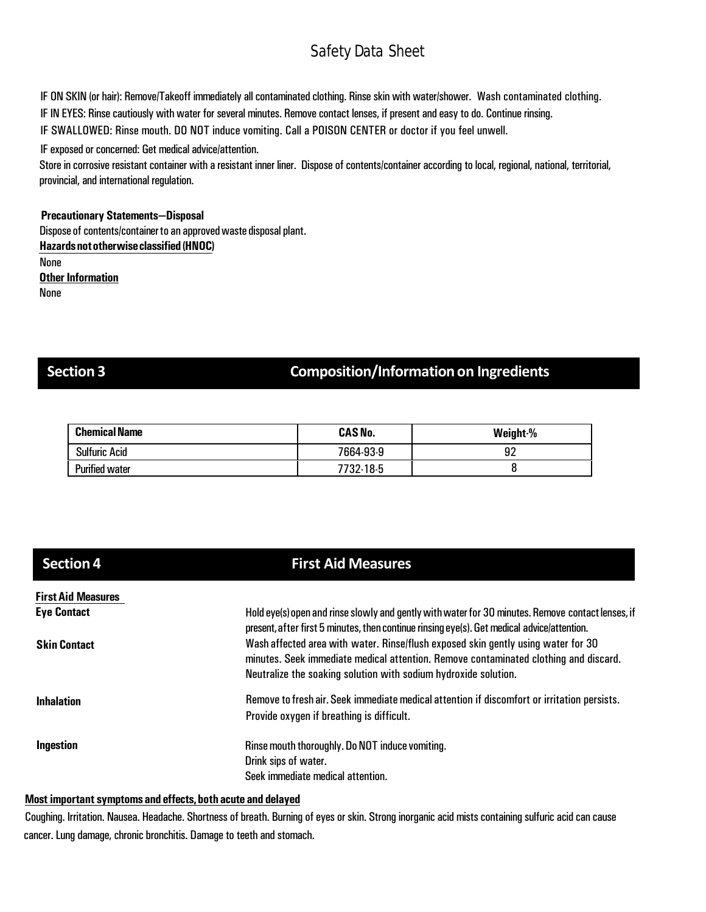IF ON SKIN (or hair): Remove/Takeoff immediately all contaminated clothing. Rinse skin with water/shower. Wash contaminated clothing. IF IN EYES: Rinse cautiously with water for several minutes. Remove contact lenses, if present and easy to do. Continue rinsing. IF SWALLOWED: Rinse mouth. DO NOT induce vomiting. Call a POISON CENTER or doctor if you feel unwell.

IF exposed or concerned: Get medical advice/attention.

Store in corrosive resistant container with a resistant inner liner. Dispose of contents/container according to local, regional, national, territorial, provincial, and international regulation.

### **Precautionary Statements—Disposal**

Dispose of contents/container to an approved waste disposal plant. **Hazardsnototherwiseclassified (HNOC)** None

**Other Information** None

## **Section 3 Composition/Informationon Ingredients**

| <b>Chemical Name</b>  | <b>CAS No.</b> | Weight-% |
|-----------------------|----------------|----------|
| <b>Sulfuric Acid</b>  | 7664-93-9      | 92       |
| <b>Purified water</b> | 7732-18-5      |          |

| <b>Section 4</b>          | <b>First Aid Measures</b>                                                                                                                                                                                                                    |
|---------------------------|----------------------------------------------------------------------------------------------------------------------------------------------------------------------------------------------------------------------------------------------|
| <b>First Aid Measures</b> |                                                                                                                                                                                                                                              |
| <b>Eye Contact</b>        | Hold eye(s) open and rinse slowly and gently with water for 30 minutes. Remove contact lenses, if<br>present, after first 5 minutes, then continue rinsing eye(s). Get medical advice/attention.                                             |
| <b>Skin Contact</b>       | Wash affected area with water. Rinse/flush exposed skin gently using water for 30<br>minutes. Seek immediate medical attention. Remove contaminated clothing and discard.<br>Neutralize the soaking solution with sodium hydroxide solution. |
| <b>Inhalation</b>         | Remove to fresh air. Seek immediate medical attention if discomfort or irritation persists.<br>Provide oxygen if breathing is difficult.                                                                                                     |
| Ingestion                 | Rinse mouth thoroughly. Do NOT induce vomiting.<br>Drink sips of water.<br>Seek immediate medical attention.                                                                                                                                 |

### **Most important symptoms and effects,both acute and delayed**

Coughing. Irritation. Nausea. Headache. Shortness of breath. Burning of eyes or skin. Strong inorganic acid mists containing sulfuric acid can cause cancer. Lung damage, chronic bronchitis. Damage to teeth and stomach.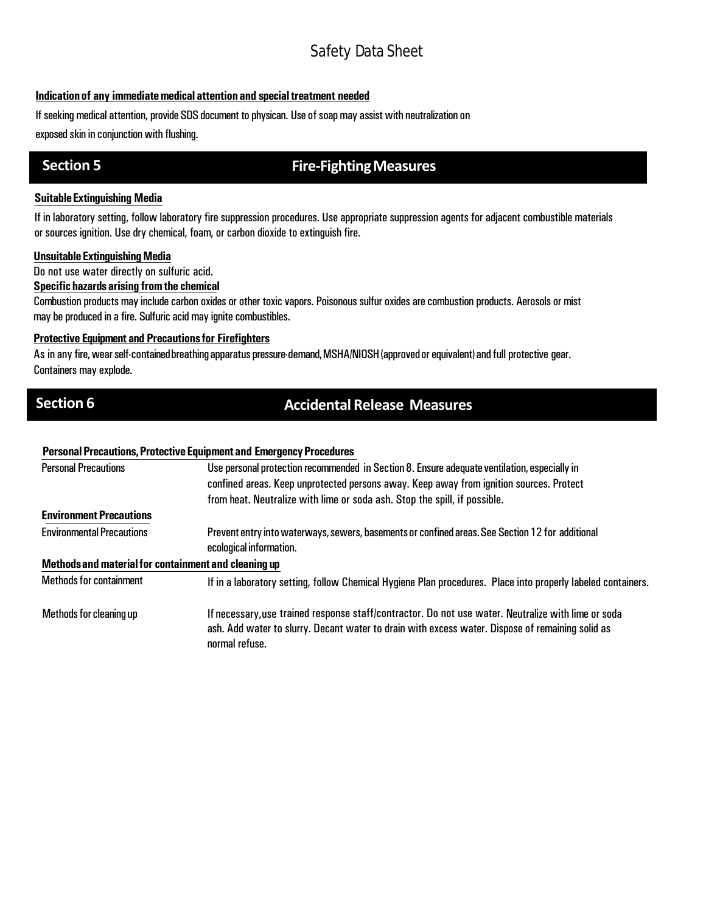### **Indicationof any immediatemedical attention and specialtreatment needed**

If seeking medical attention, provide SDS document to physican. Use of soap may assist with neutralization on

exposed skin in conjunction with flushing.

## **Section 5 Fire-Fighting Measures**

### **SuitableExtinguishing Media**

If in laboratory setting, follow laboratory fire suppression procedures. Use appropriate suppression agents for adjacent combustible materials or sources ignition. Use dry chemical, foam, or carbon dioxide to extinguish fire.

### **Unsuitable Extinguishing Media**

Do not use water directly on sulfuric acid.

### **Specifichazards arising fromthe chemical**

Combustion products may include carbon oxides or other toxic vapors. Poisonous sulfur oxides are combustion products. Aerosols or mist may be produced in a fire. Sulfuric acid may ignite combustibles.

### **Protective Equipment and Precautionsfor Firefighters**

As in any fire, wear self-contained breathing apparatus pressure-demand, MSHA/NIOSH (approved or equivalent) and full protective gear. Containers may explode.

## **Section 6 Accidental Release Measures**

### **PersonalPrecautions,ProtectiveEquipmentand EmergencyProcedures**

| <b>Personal Precautions</b>                                                                                                                                                                                                                          | Use personal protection recommended in Section 8. Ensure adequate ventilation, especially in                                |  |  |
|------------------------------------------------------------------------------------------------------------------------------------------------------------------------------------------------------------------------------------------------------|-----------------------------------------------------------------------------------------------------------------------------|--|--|
|                                                                                                                                                                                                                                                      | confined areas. Keep unprotected persons away. Keep away from ignition sources. Protect                                     |  |  |
|                                                                                                                                                                                                                                                      | from heat. Neutralize with lime or soda ash. Stop the spill, if possible.                                                   |  |  |
| <b>Environment Precautions</b>                                                                                                                                                                                                                       |                                                                                                                             |  |  |
| <b>Environmental Precautions</b>                                                                                                                                                                                                                     | Prevent entry into waterways, sewers, basements or confined areas. See Section 12 for additional<br>ecological information. |  |  |
| Methods and material for containment and cleaning up                                                                                                                                                                                                 |                                                                                                                             |  |  |
| <b>Methods for containment</b>                                                                                                                                                                                                                       | If in a laboratory setting, follow Chemical Hygiene Plan procedures. Place into properly labeled containers.                |  |  |
| If necessary, use trained response staff/contractor. Do not use water. Neutralize with lime or soda<br>Methods for cleaning up<br>ash. Add water to slurry. Decant water to drain with excess water. Dispose of remaining solid as<br>normal refuse. |                                                                                                                             |  |  |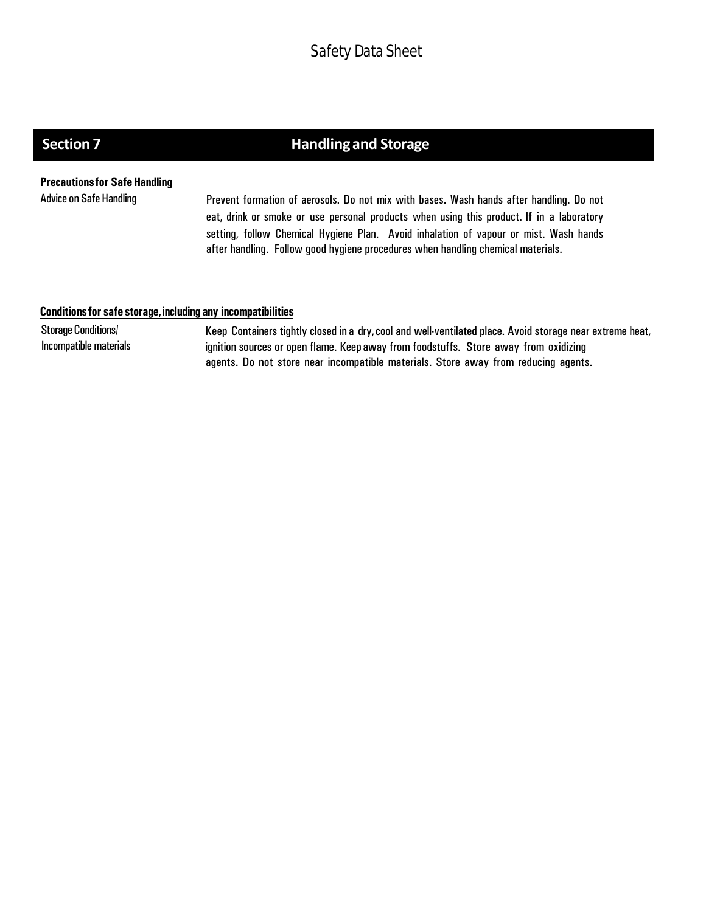# **Section 7 Handling and Storage**

### **Precautions for Safe Handling**

Advice on Safe Handling **Prevent formation of aerosols. Do not mix** with bases. Wash hands after handling. Do not eat, drink or smoke or use personal products when using this product. If in a laboratory setting, follow Chemical Hygiene Plan. Avoid inhalation of vapour or mist. Wash hands after handling. Follow good hygiene procedures when handling chemical materials.

### **Conditionsfor safe storage,including any incompatibilities**

Storage Conditions/ Incompatible materials Keep Containers tightly closed in a dry,cool and well-ventilated place. Avoid storage near extreme heat, ignition sources or open flame. Keep away from foodstuffs. Store away from oxidizing agents. Do not store near incompatible materials. Store away from reducing agents.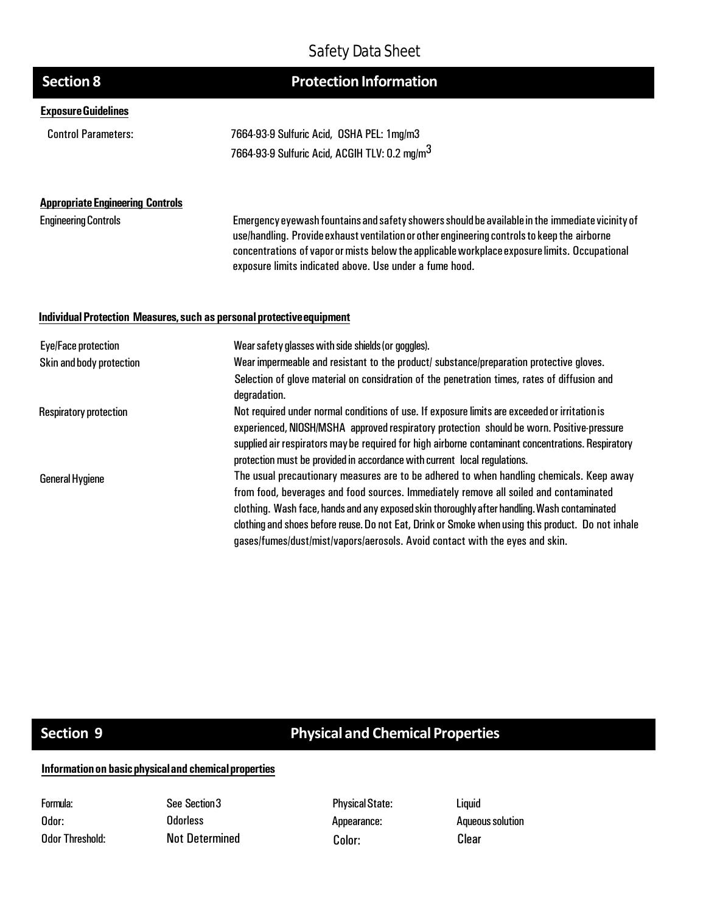| <b>Section 8</b>                                                      | <b>Protection Information</b>                                                                                                                                                                                                                                                                                                                                                                                                                                           |
|-----------------------------------------------------------------------|-------------------------------------------------------------------------------------------------------------------------------------------------------------------------------------------------------------------------------------------------------------------------------------------------------------------------------------------------------------------------------------------------------------------------------------------------------------------------|
| <b>Exposure Guidelines</b>                                            |                                                                                                                                                                                                                                                                                                                                                                                                                                                                         |
| <b>Control Parameters:</b>                                            | 7664-93-9 Sulfuric Acid, OSHA PEL: 1mg/m3                                                                                                                                                                                                                                                                                                                                                                                                                               |
|                                                                       | 7664-93-9 Sulfuric Acid, ACGIH TLV: 0.2 mg/m <sup>3</sup>                                                                                                                                                                                                                                                                                                                                                                                                               |
| <b>Appropriate Engineering Controls</b>                               |                                                                                                                                                                                                                                                                                                                                                                                                                                                                         |
| <b>Engineering Controls</b>                                           | Emergency eyewash fountains and safety showers should be available in the immediate vicinity of<br>use/handling. Provide exhaust ventilation or other engineering controls to keep the airborne<br>concentrations of vapor or mists below the applicable workplace exposure limits. Occupational<br>exposure limits indicated above. Use under a fume hood.                                                                                                             |
| Individual Protection Measures, such as personal protective equipment |                                                                                                                                                                                                                                                                                                                                                                                                                                                                         |
| Eye/Face protection                                                   | Wear safety glasses with side shields (or goggles).                                                                                                                                                                                                                                                                                                                                                                                                                     |
| Skin and body protection                                              | Wear impermeable and resistant to the product/ substance/preparation protective gloves.                                                                                                                                                                                                                                                                                                                                                                                 |
|                                                                       | Selection of glove material on considration of the penetration times, rates of diffusion and<br>degradation.                                                                                                                                                                                                                                                                                                                                                            |
| <b>Respiratory protection</b>                                         | Not required under normal conditions of use. If exposure limits are exceeded or irritation is<br>experienced, NIOSH/MSHA approved respiratory protection should be worn. Positive-pressure<br>supplied air respirators may be required for high airborne contaminant concentrations. Respiratory<br>protection must be provided in accordance with current local regulations.                                                                                           |
| <b>General Hygiene</b>                                                | The usual precautionary measures are to be adhered to when handling chemicals. Keep away<br>from food, beverages and food sources. Immediately remove all soiled and contaminated<br>clothing. Wash face, hands and any exposed skin thoroughly after handling. Wash contaminated<br>clothing and shoes before reuse. Do not Eat, Drink or Smoke when using this product. Do not inhale<br>gases/fumes/dust/mist/vapors/aerosols. Avoid contact with the eyes and skin. |

# **Section 9 Physical and Chemical Properties**

## **Informationon basicphysicaland chemicalproperties**

| Formula:        |
|-----------------|
| Odor:           |
| Odor Threshold: |

See Section3 **Odorless** Not Determined Color: Color: Clear

**Physical State:** Appearance:

Liquid **Aqueous solution**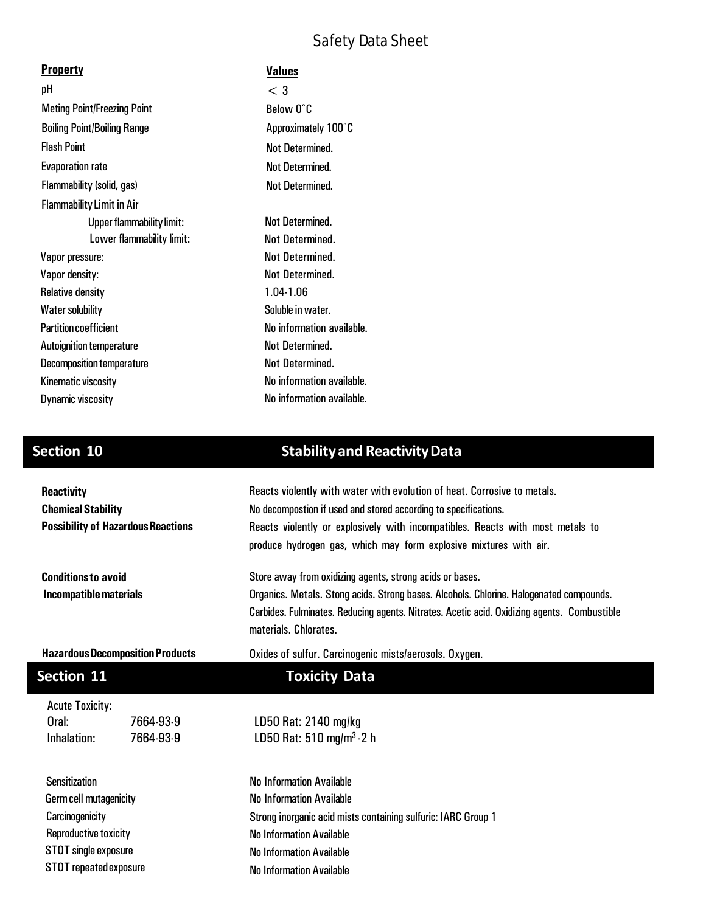| <b>Property</b>                    | <b>Values</b>             |
|------------------------------------|---------------------------|
| рH                                 | $<$ 3                     |
| <b>Meting Point/Freezing Point</b> | Below O°C                 |
| <b>Boiling Point/Boiling Range</b> | Approximately 100°C       |
| <b>Flash Point</b>                 | Not Determined.           |
| <b>Evaporation rate</b>            | Not Determined.           |
| Flammability (solid, gas)          | <b>Not Determined.</b>    |
| <b>Flammability Limit in Air</b>   |                           |
| <b>Upper flammability limit:</b>   | Not Determined.           |
| Lower flammability limit:          | Not Determined.           |
| Vapor pressure:                    | <b>Not Determined.</b>    |
| Vapor density:                     | Not Determined.           |
| <b>Relative density</b>            | 1.04-1.06                 |
| <b>Water solubility</b>            | Soluble in water.         |
| <b>Partition coefficient</b>       | No information available. |
| <b>Autoignition temperature</b>    | Not Determined.           |
| Decomposition temperature          | Not Determined.           |
| Kinematic viscosity                | No information available. |
| <b>Dynamic viscosity</b>           | No information available. |
|                                    |                           |

# **Section 10 Stabilityand ReactivityData**

| <b>Reactivity</b><br><b>Chemical Stability</b><br><b>Possibility of Hazardous Reactions</b> |           | Reacts violently with water with evolution of heat. Corrosive to metals.<br>No decompostion if used and stored according to specifications.<br>Reacts violently or explosively with incompatibles. Reacts with most metals to<br>produce hydrogen gas, which may form explosive mixtures with air. |  |  |  |                            |  |                                                                                                                                                                                                                 |  |  |
|---------------------------------------------------------------------------------------------|-----------|----------------------------------------------------------------------------------------------------------------------------------------------------------------------------------------------------------------------------------------------------------------------------------------------------|--|--|--|----------------------------|--|-----------------------------------------------------------------------------------------------------------------------------------------------------------------------------------------------------------------|--|--|
|                                                                                             |           |                                                                                                                                                                                                                                                                                                    |  |  |  | <b>Conditions to avoid</b> |  | Store away from oxidizing agents, strong acids or bases.                                                                                                                                                        |  |  |
|                                                                                             |           |                                                                                                                                                                                                                                                                                                    |  |  |  | Incompatible materials     |  | Organics. Metals. Stong acids. Strong bases. Alcohols. Chlorine. Halogenated compounds.<br>Carbides. Fulminates. Reducing agents. Nitrates. Acetic acid. Oxidizing agents. Combustible<br>materials, Chlorates, |  |  |
| <b>Hazardous Decomposition Products</b>                                                     |           | Oxides of sulfur. Carcinogenic mists/aerosols. Oxygen.                                                                                                                                                                                                                                             |  |  |  |                            |  |                                                                                                                                                                                                                 |  |  |
| Section 11                                                                                  |           | <b>Toxicity Data</b>                                                                                                                                                                                                                                                                               |  |  |  |                            |  |                                                                                                                                                                                                                 |  |  |
| <b>Acute Toxicity:</b>                                                                      |           |                                                                                                                                                                                                                                                                                                    |  |  |  |                            |  |                                                                                                                                                                                                                 |  |  |
| Oral:                                                                                       | 7664-93-9 | LD50 Rat: 2140 mg/kg                                                                                                                                                                                                                                                                               |  |  |  |                            |  |                                                                                                                                                                                                                 |  |  |
| Inhalation:                                                                                 | 7664-93-9 | LD50 Rat: 510 mg/m <sup>3</sup> - 2 h                                                                                                                                                                                                                                                              |  |  |  |                            |  |                                                                                                                                                                                                                 |  |  |
| <b>Sensitization</b>                                                                        |           | <b>No Information Available</b>                                                                                                                                                                                                                                                                    |  |  |  |                            |  |                                                                                                                                                                                                                 |  |  |
| Germ cell mutagenicity                                                                      |           | <b>No Information Available</b>                                                                                                                                                                                                                                                                    |  |  |  |                            |  |                                                                                                                                                                                                                 |  |  |
| Carcinogenicity                                                                             |           | Strong inorganic acid mists containing sulfuric: IARC Group 1                                                                                                                                                                                                                                      |  |  |  |                            |  |                                                                                                                                                                                                                 |  |  |
| <b>Reproductive toxicity</b>                                                                |           | <b>No Information Available</b>                                                                                                                                                                                                                                                                    |  |  |  |                            |  |                                                                                                                                                                                                                 |  |  |
| STOT single exposure                                                                        |           | <b>No Information Available</b>                                                                                                                                                                                                                                                                    |  |  |  |                            |  |                                                                                                                                                                                                                 |  |  |
| STOT repeated exposure                                                                      |           | <b>No Information Available</b>                                                                                                                                                                                                                                                                    |  |  |  |                            |  |                                                                                                                                                                                                                 |  |  |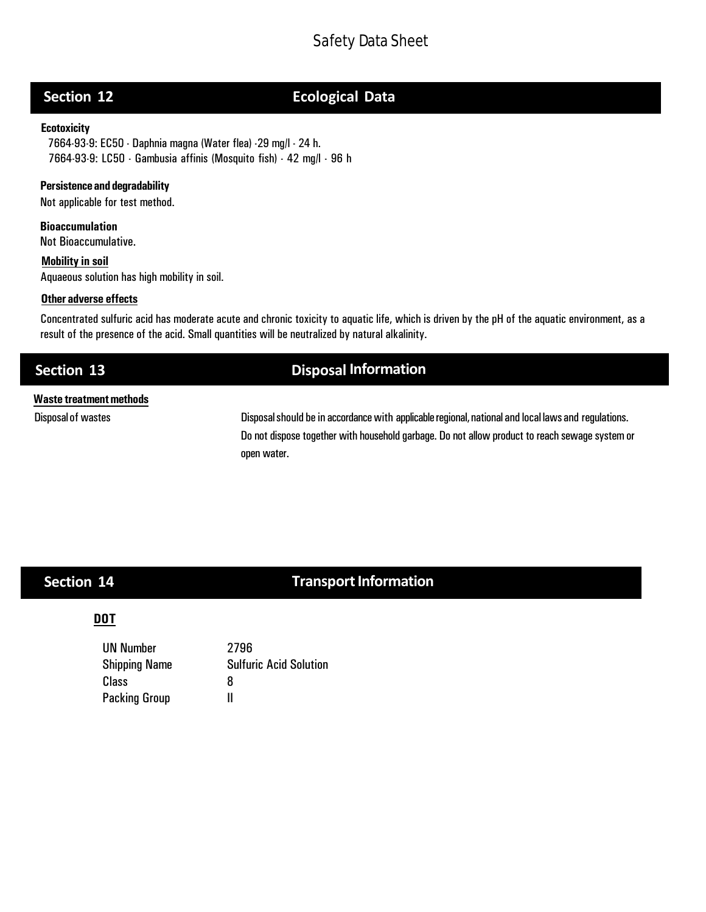# **Section 12 Ecological Data**

### **Ecotoxicity**

7664-93-9: EC50 - Daphnia magna (Water flea) -29 mg/l - 24 h. 7664-93-9: LC50 - Gambusia affinis (Mosquito fish) - 42 mg/l - 96 h

### **Persistenceand degradability**

Not applicable for test method.

**Bioaccumulation**

Not Bioaccumulative.

**Mobility in soil** Aquaeous solution has high mobility in soil.

### **Other adverse effects**

Concentrated sulfuric acid has moderate acute and chronic toxicity to aquatic life, which is driven by the pH of the aquatic environment, as a result of the presence of the acid. Small quantities will be neutralized by natural alkalinity.

## **Section 13 Disposal Information**

### **Waste treatmentmethods**

Disposal of wastes **Disposalshould be** in accordance with applicable regional, national and local laws and regulations. Do not dispose together with household garbage. Do not allow product to reach sewage system or open water.

# **Section 14**

# **Transport Information**

### **DOT**

UN Number 2796 Shipping Name Sulfuric Acid Solution Class 8 Packing Group II